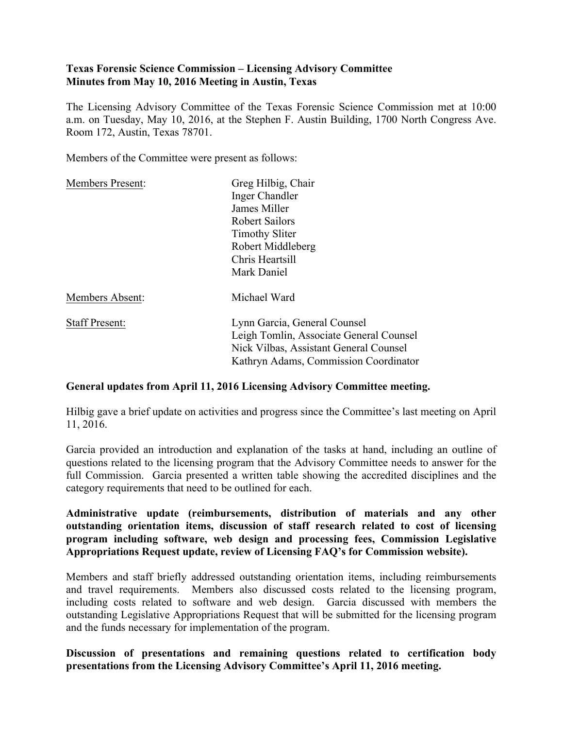# **Texas Forensic Science Commission – Licensing Advisory Committee Minutes from May 10, 2016 Meeting in Austin, Texas**

The Licensing Advisory Committee of the Texas Forensic Science Commission met at 10:00 a.m. on Tuesday, May 10, 2016, at the Stephen F. Austin Building, 1700 North Congress Ave. Room 172, Austin, Texas 78701.

Members of the Committee were present as follows:

| Greg Hilbig, Chair                      |
|-----------------------------------------|
| Inger Chandler                          |
| James Miller                            |
| <b>Robert Sailors</b>                   |
| <b>Timothy Sliter</b>                   |
| Robert Middleberg                       |
| Chris Heartsill                         |
| Mark Daniel                             |
| Michael Ward                            |
| Lynn Garcia, General Counsel            |
| Leigh Tomlin, Associate General Counsel |
| Nick Vilbas, Assistant General Counsel  |
| Kathryn Adams, Commission Coordinator   |
|                                         |

# **General updates from April 11, 2016 Licensing Advisory Committee meeting.**

Hilbig gave a brief update on activities and progress since the Committee's last meeting on April 11, 2016.

Garcia provided an introduction and explanation of the tasks at hand, including an outline of questions related to the licensing program that the Advisory Committee needs to answer for the full Commission. Garcia presented a written table showing the accredited disciplines and the category requirements that need to be outlined for each.

**Administrative update (reimbursements, distribution of materials and any other outstanding orientation items, discussion of staff research related to cost of licensing program including software, web design and processing fees, Commission Legislative Appropriations Request update, review of Licensing FAQ's for Commission website).** 

Members and staff briefly addressed outstanding orientation items, including reimbursements and travel requirements. Members also discussed costs related to the licensing program, including costs related to software and web design. Garcia discussed with members the outstanding Legislative Appropriations Request that will be submitted for the licensing program and the funds necessary for implementation of the program.

# **Discussion of presentations and remaining questions related to certification body presentations from the Licensing Advisory Committee's April 11, 2016 meeting.**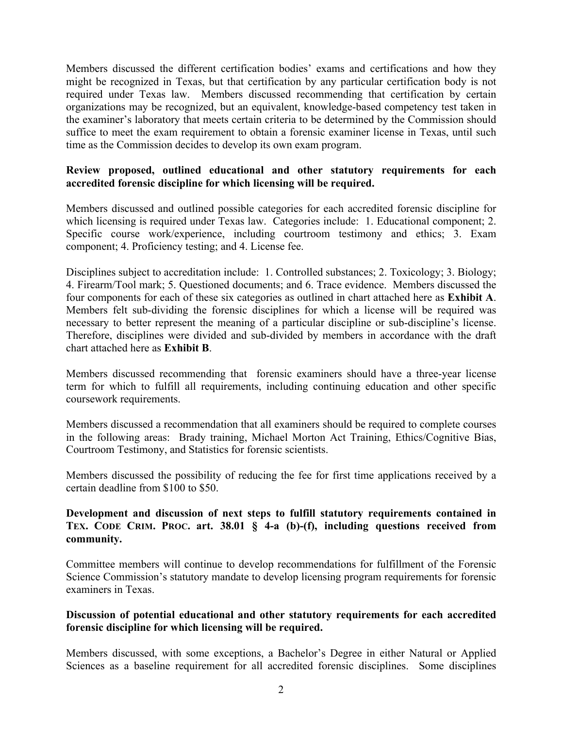Members discussed the different certification bodies' exams and certifications and how they might be recognized in Texas, but that certification by any particular certification body is not required under Texas law. Members discussed recommending that certification by certain organizations may be recognized, but an equivalent, knowledge-based competency test taken in the examiner's laboratory that meets certain criteria to be determined by the Commission should suffice to meet the exam requirement to obtain a forensic examiner license in Texas, until such time as the Commission decides to develop its own exam program.

# **Review proposed, outlined educational and other statutory requirements for each accredited forensic discipline for which licensing will be required.**

Members discussed and outlined possible categories for each accredited forensic discipline for which licensing is required under Texas law. Categories include: 1. Educational component; 2. Specific course work/experience, including courtroom testimony and ethics; 3. Exam component; 4. Proficiency testing; and 4. License fee.

Disciplines subject to accreditation include: 1. Controlled substances; 2. Toxicology; 3. Biology; 4. Firearm/Tool mark; 5. Questioned documents; and 6. Trace evidence. Members discussed the four components for each of these six categories as outlined in chart attached here as **Exhibit A**. Members felt sub-dividing the forensic disciplines for which a license will be required was necessary to better represent the meaning of a particular discipline or sub-discipline's license. Therefore, disciplines were divided and sub-divided by members in accordance with the draft chart attached here as **Exhibit B**.

Members discussed recommending that forensic examiners should have a three-year license term for which to fulfill all requirements, including continuing education and other specific coursework requirements.

Members discussed a recommendation that all examiners should be required to complete courses in the following areas: Brady training, Michael Morton Act Training, Ethics/Cognitive Bias, Courtroom Testimony, and Statistics for forensic scientists.

Members discussed the possibility of reducing the fee for first time applications received by a certain deadline from \$100 to \$50.

# **Development and discussion of next steps to fulfill statutory requirements contained in TEX. CODE CRIM. PROC. art. 38.01 § 4-a (b)-(f), including questions received from community.**

Committee members will continue to develop recommendations for fulfillment of the Forensic Science Commission's statutory mandate to develop licensing program requirements for forensic examiners in Texas.

### **Discussion of potential educational and other statutory requirements for each accredited forensic discipline for which licensing will be required.**

Members discussed, with some exceptions, a Bachelor's Degree in either Natural or Applied Sciences as a baseline requirement for all accredited forensic disciplines. Some disciplines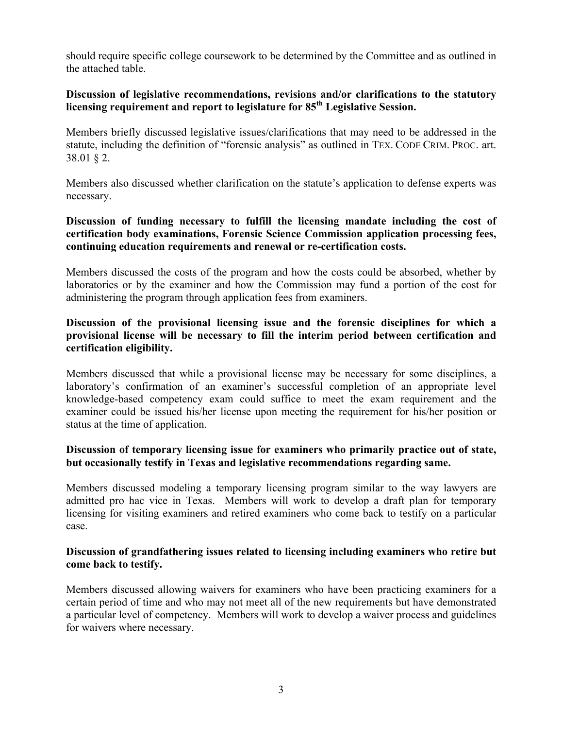should require specific college coursework to be determined by the Committee and as outlined in the attached table.

### **Discussion of legislative recommendations, revisions and/or clarifications to the statutory licensing requirement and report to legislature for 85th Legislative Session.**

Members briefly discussed legislative issues/clarifications that may need to be addressed in the statute, including the definition of "forensic analysis" as outlined in TEX. CODE CRIM. PROC. art. 38.01 § 2.

Members also discussed whether clarification on the statute's application to defense experts was necessary.

### **Discussion of funding necessary to fulfill the licensing mandate including the cost of certification body examinations, Forensic Science Commission application processing fees, continuing education requirements and renewal or re-certification costs.**

Members discussed the costs of the program and how the costs could be absorbed, whether by laboratories or by the examiner and how the Commission may fund a portion of the cost for administering the program through application fees from examiners.

# **Discussion of the provisional licensing issue and the forensic disciplines for which a provisional license will be necessary to fill the interim period between certification and certification eligibility.**

Members discussed that while a provisional license may be necessary for some disciplines, a laboratory's confirmation of an examiner's successful completion of an appropriate level knowledge-based competency exam could suffice to meet the exam requirement and the examiner could be issued his/her license upon meeting the requirement for his/her position or status at the time of application.

### **Discussion of temporary licensing issue for examiners who primarily practice out of state, but occasionally testify in Texas and legislative recommendations regarding same.**

Members discussed modeling a temporary licensing program similar to the way lawyers are admitted pro hac vice in Texas. Members will work to develop a draft plan for temporary licensing for visiting examiners and retired examiners who come back to testify on a particular case.

### **Discussion of grandfathering issues related to licensing including examiners who retire but come back to testify.**

Members discussed allowing waivers for examiners who have been practicing examiners for a certain period of time and who may not meet all of the new requirements but have demonstrated a particular level of competency. Members will work to develop a waiver process and guidelines for waivers where necessary.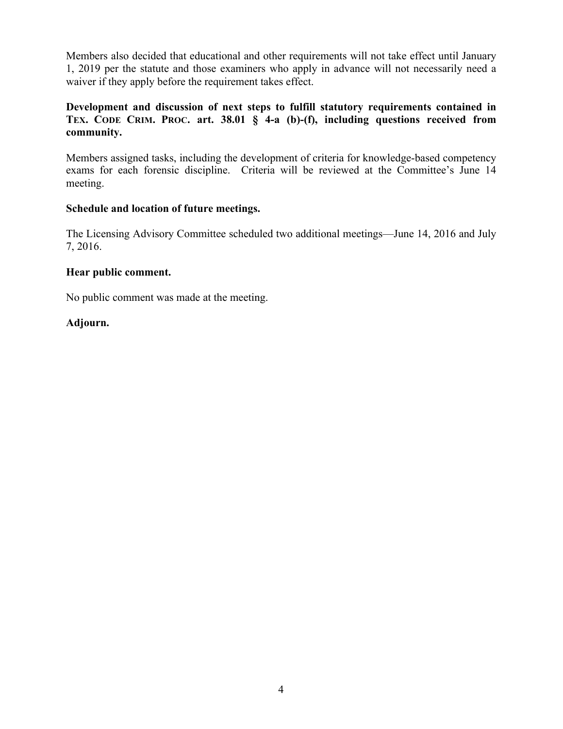Members also decided that educational and other requirements will not take effect until January 1, 2019 per the statute and those examiners who apply in advance will not necessarily need a waiver if they apply before the requirement takes effect.

# **Development and discussion of next steps to fulfill statutory requirements contained in TEX. CODE CRIM. PROC. art. 38.01 § 4-a (b)-(f), including questions received from community.**

Members assigned tasks, including the development of criteria for knowledge-based competency exams for each forensic discipline. Criteria will be reviewed at the Committee's June 14 meeting.

### **Schedule and location of future meetings.**

The Licensing Advisory Committee scheduled two additional meetings—June 14, 2016 and July 7, 2016.

### **Hear public comment.**

No public comment was made at the meeting.

# **Adjourn.**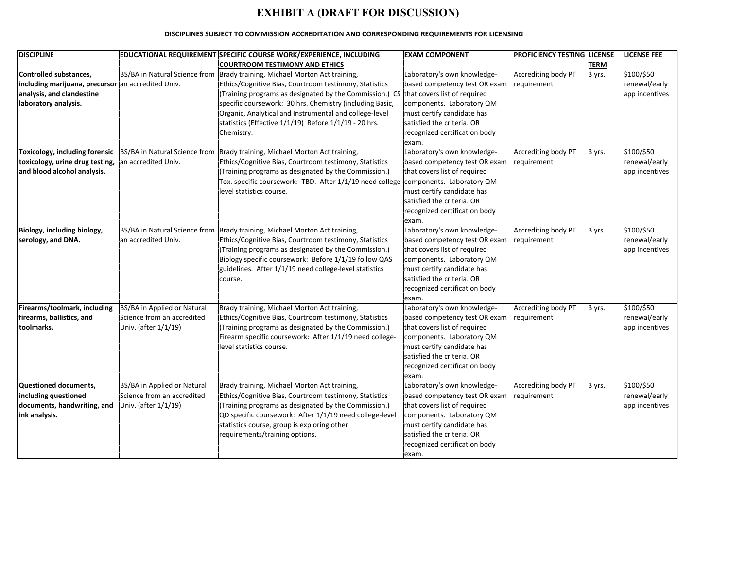# **EXHIBIT A (DRAFT FOR DISCUSSION)**

#### DISCIPLINES SUBJECT TO COMMISSION ACCREDITATION AND CORRESPONDING REQUIREMENTS FOR LICENSING

| <b>DISCIPLINE</b>                                  |                               | EDUCATIONAL REQUIREMENT SPECIFIC COURSE WORK/EXPERIENCE, INCLUDING                   | <b>EXAM COMPONENT</b>         | <b>PROFICIENCY TESTING LICENSE</b> |        | <b>LICENSE FEE</b> |
|----------------------------------------------------|-------------------------------|--------------------------------------------------------------------------------------|-------------------------------|------------------------------------|--------|--------------------|
|                                                    |                               | <b>COURTROOM TESTIMONY AND ETHICS</b>                                                |                               |                                    | TERM   |                    |
| Controlled substances,                             |                               | BS/BA in Natural Science from Brady training, Michael Morton Act training,           | Laboratory's own knowledge-   | Accrediting body PT                | 3 yrs. | \$100/\$50         |
| including marijuana, precursor an accredited Univ. |                               | Ethics/Cognitive Bias, Courtroom testimony, Statistics                               | based competency test OR exam | requirement                        |        | renewal/early      |
| analysis, and clandestine                          |                               | (Training programs as designated by the Commission.) CS that covers list of required |                               |                                    |        | app incentives     |
| laboratory analysis.                               |                               | specific coursework: 30 hrs. Chemistry (including Basic,                             | components. Laboratory QM     |                                    |        |                    |
|                                                    |                               | Organic, Analytical and Instrumental and college-level                               | must certify candidate has    |                                    |        |                    |
|                                                    |                               | statistics (Effective 1/1/19) Before 1/1/19 - 20 hrs.                                | satisfied the criteria. OR    |                                    |        |                    |
|                                                    |                               | Chemistry.                                                                           | recognized certification body |                                    |        |                    |
|                                                    |                               |                                                                                      | exam.                         |                                    |        |                    |
| Toxicology, including forensic                     |                               | BS/BA in Natural Science from   Brady training, Michael Morton Act training,         | Laboratory's own knowledge-   | Accrediting body PT                | 3 yrs. | \$100/\$50         |
| toxicology, urine drug testing,                    | an accredited Univ.           | Ethics/Cognitive Bias, Courtroom testimony, Statistics                               | based competency test OR exam | requirement                        |        | renewal/early      |
| and blood alcohol analysis.                        |                               | (Training programs as designated by the Commission.)                                 | that covers list of required  |                                    |        | app incentives     |
|                                                    |                               | Tox. specific coursework: TBD. After 1/1/19 need college-components. Laboratory QM   |                               |                                    |        |                    |
|                                                    |                               | level statistics course.                                                             | must certify candidate has    |                                    |        |                    |
|                                                    |                               |                                                                                      | satisfied the criteria. OR    |                                    |        |                    |
|                                                    |                               |                                                                                      | recognized certification body |                                    |        |                    |
|                                                    |                               |                                                                                      | exam.                         |                                    |        |                    |
| Biology, including biology,                        | BS/BA in Natural Science from | Brady training, Michael Morton Act training,                                         | Laboratory's own knowledge-   | Accrediting body PT                | 3 yrs. | \$100/\$50         |
| serology, and DNA.                                 | an accredited Univ.           | Ethics/Cognitive Bias, Courtroom testimony, Statistics                               | based competency test OR exam | requirement                        |        | renewal/early      |
|                                                    |                               | (Training programs as designated by the Commission.)                                 | that covers list of required  |                                    |        | app incentives     |
|                                                    |                               | Biology specific coursework: Before 1/1/19 follow QAS                                | components. Laboratory QM     |                                    |        |                    |
|                                                    |                               | guidelines. After 1/1/19 need college-level statistics                               | must certify candidate has    |                                    |        |                    |
|                                                    |                               | course.                                                                              | satisfied the criteria. OR    |                                    |        |                    |
|                                                    |                               |                                                                                      | recognized certification body |                                    |        |                    |
|                                                    |                               |                                                                                      | exam.                         |                                    |        |                    |
| Firearms/toolmark, including                       | BS/BA in Applied or Natural   | Brady training, Michael Morton Act training,                                         | Laboratory's own knowledge-   | Accrediting body PT                | 3 yrs. | \$100/\$50         |
| firearms, ballistics, and                          | Science from an accredited    | Ethics/Cognitive Bias, Courtroom testimony, Statistics                               | based competency test OR exam | requirement                        |        | renewal/early      |
| toolmarks.                                         | Univ. (after 1/1/19)          | (Training programs as designated by the Commission.)                                 | that covers list of required  |                                    |        | app incentives     |
|                                                    |                               | Firearm specific coursework: After 1/1/19 need college-                              | components. Laboratory QM     |                                    |        |                    |
|                                                    |                               | level statistics course.                                                             | must certify candidate has    |                                    |        |                    |
|                                                    |                               |                                                                                      | satisfied the criteria. OR    |                                    |        |                    |
|                                                    |                               |                                                                                      | recognized certification body |                                    |        |                    |
|                                                    |                               |                                                                                      | exam.                         |                                    |        |                    |
| Questioned documents,                              | BS/BA in Applied or Natural   | Brady training, Michael Morton Act training,                                         | Laboratory's own knowledge-   | Accrediting body PT                | 3 yrs. | \$100/\$50         |
| including questioned                               | Science from an accredited    | Ethics/Cognitive Bias, Courtroom testimony, Statistics                               | based competency test OR exam | requirement                        |        | renewal/early      |
| documents, handwriting, and                        | Univ. (after 1/1/19)          | (Training programs as designated by the Commission.)                                 | that covers list of required  |                                    |        | app incentives     |
| ink analysis.                                      |                               | QD specific coursework: After 1/1/19 need college-level                              | components. Laboratory QM     |                                    |        |                    |
|                                                    |                               | statistics course, group is exploring other                                          | must certify candidate has    |                                    |        |                    |
|                                                    |                               | requirements/training options.                                                       | satisfied the criteria. OR    |                                    |        |                    |
|                                                    |                               |                                                                                      | recognized certification body |                                    |        |                    |
|                                                    |                               |                                                                                      | exam.                         |                                    |        |                    |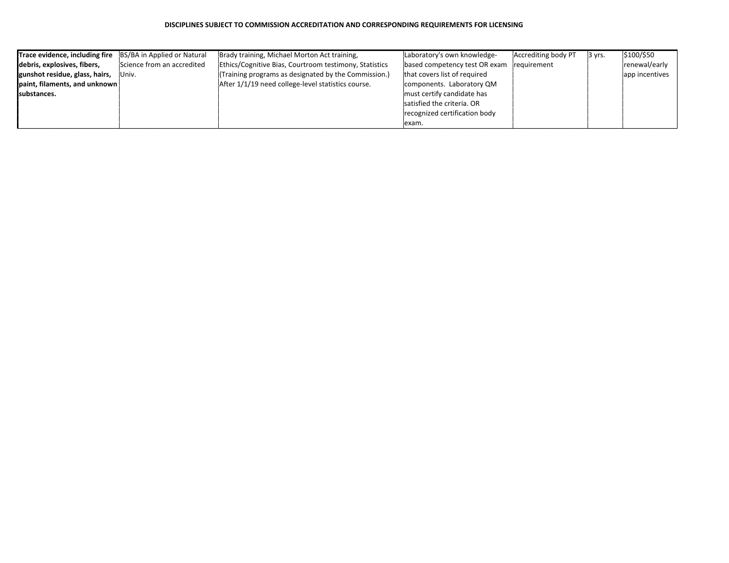| <b>Trace evidence, including fire</b> BS/BA in Applied or Natural |                            | Brady training, Michael Morton Act training,           | Laboratory's own knowledge-   | Accrediting body PT | $ 3 \rangle$ yrs. | \$100/\$50     |
|-------------------------------------------------------------------|----------------------------|--------------------------------------------------------|-------------------------------|---------------------|-------------------|----------------|
| debris, explosives, fibers,                                       | Science from an accredited | Ethics/Cognitive Bias, Courtroom testimony, Statistics | based competency test OR exam | requirement         |                   | renewal/early  |
| gunshot residue, glass, hairs,                                    | Univ.                      | (Training programs as designated by the Commission.)   | that covers list of required  |                     |                   | app incentives |
| paint, filaments, and unknown                                     |                            | After 1/1/19 need college-level statistics course.     | components. Laboratory QM     |                     |                   |                |
| Isubstances.                                                      |                            |                                                        | must certify candidate has    |                     |                   |                |
|                                                                   |                            |                                                        | satisfied the criteria. OR    |                     |                   |                |
|                                                                   |                            |                                                        | recognized certification body |                     |                   |                |
|                                                                   |                            |                                                        | lexam.                        |                     |                   |                |